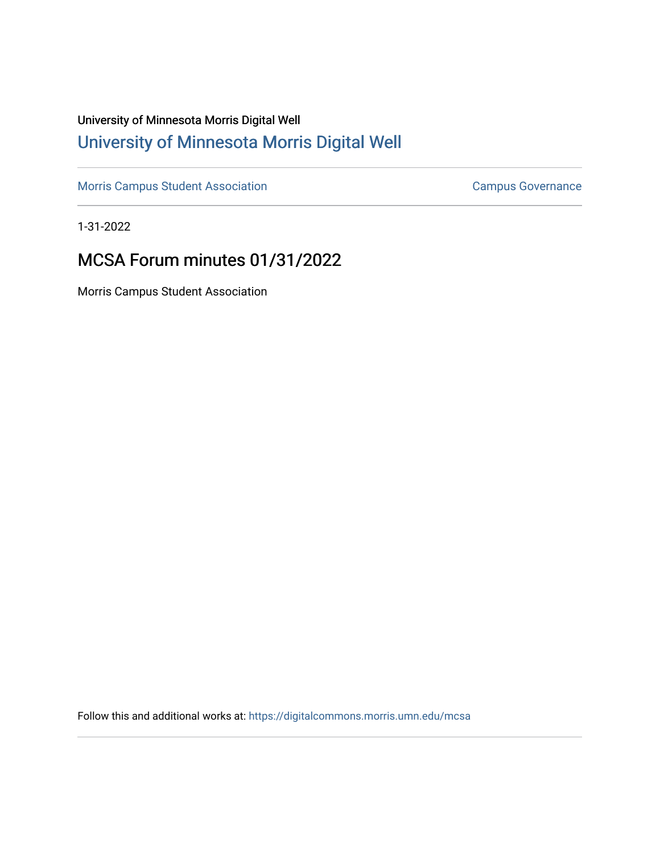## University of Minnesota Morris Digital Well [University of Minnesota Morris Digital Well](https://digitalcommons.morris.umn.edu/)

[Morris Campus Student Association](https://digitalcommons.morris.umn.edu/mcsa) **Campus Governance** Campus Governance

1-31-2022

# MCSA Forum minutes 01/31/2022

Morris Campus Student Association

Follow this and additional works at: [https://digitalcommons.morris.umn.edu/mcsa](https://digitalcommons.morris.umn.edu/mcsa?utm_source=digitalcommons.morris.umn.edu%2Fmcsa%2F294&utm_medium=PDF&utm_campaign=PDFCoverPages)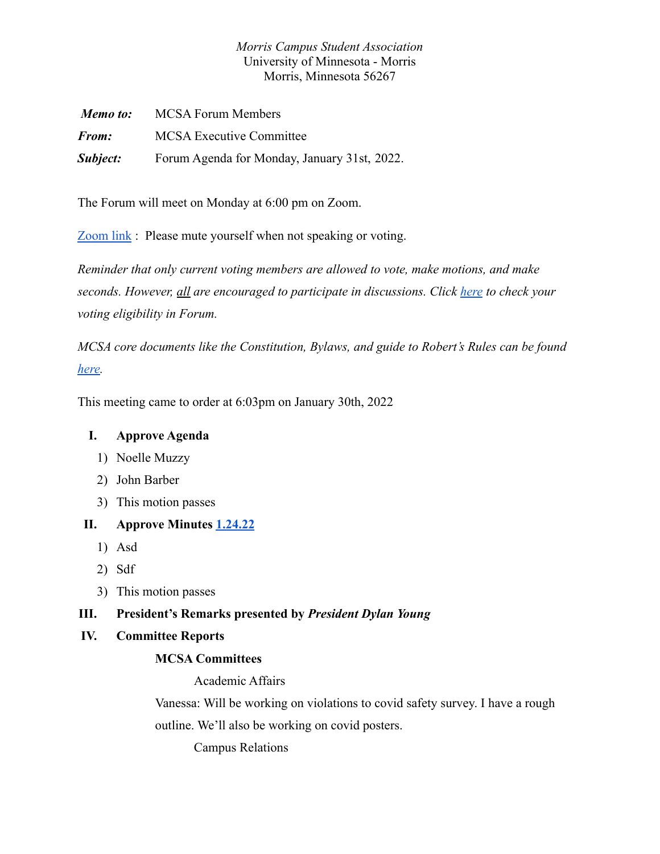## *Morris Campus Student Association* University of Minnesota - Morris Morris, Minnesota 56267

| Memo to:     | <b>MCSA Forum Members</b>                    |  |
|--------------|----------------------------------------------|--|
| <i>From:</i> | <b>MCSA Executive Committee</b>              |  |
| Subject:     | Forum Agenda for Monday, January 31st, 2022. |  |

The Forum will meet on Monday at 6:00 pm on Zoom.

[Zoom link](https://umn.zoom.us/j/92605258042?pwd=QUhqVDduTTd6ZFY0ek5FcnB5R1dkUT09) : Please mute yourself when not speaking or voting.

*Reminder that only current voting members are allowed to vote, make motions, and make seconds. However, all are encouraged to participate in discussions. Click [here](https://docs.google.com/spreadsheets/d/1IgORcenzdq47MXSEksu8Kf-kX8Rk_J3VRxbcskqDAks/edit?usp=sharing) to check your voting eligibility in Forum.*

*MCSA core documents like the Constitution, Bylaws, and guide to Robert's Rules can be found [here.](https://drive.google.com/drive/folders/1TIMThwj04feIUKbJOUHqFjpxSo5d_3_W?usp=sharing)*

This meeting came to order at 6:03pm on January 30th, 2022

## **I. Approve Agenda**

- 1) Noelle Muzzy
- 2) John Barber
- 3) This motion passes

## **II. Approve Minutes [1.24.22](https://docs.google.com/document/d/1Sfo27tNtxOeW1Bd9VYnjdnrXKCD5MaTeS84QvpfMAUY/edit)**

- 1) Asd
- 2) Sdf
- 3) This motion passes

## **III. President's Remarks presented by** *President Dylan Young*

## **IV. Committee Reports**

## **MCSA Committees**

Academic Affairs

Vanessa: Will be working on violations to covid safety survey. I have a rough outline. We'll also be working on covid posters.

Campus Relations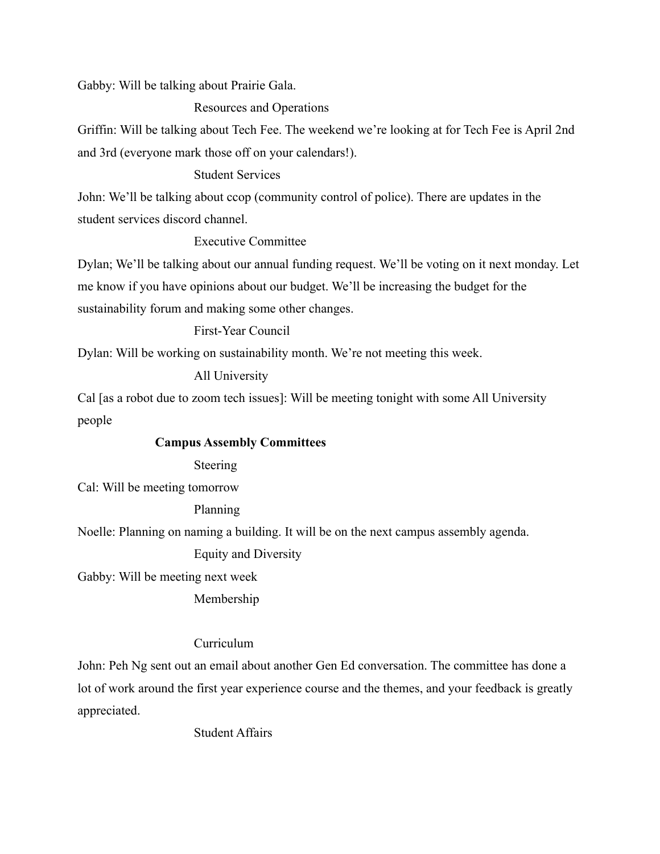Gabby: Will be talking about Prairie Gala.

Resources and Operations

Griffin: Will be talking about Tech Fee. The weekend we're looking at for Tech Fee is April 2nd and 3rd (everyone mark those off on your calendars!).

### Student Services

John: We'll be talking about ccop (community control of police). There are updates in the student services discord channel.

## Executive Committee

Dylan; We'll be talking about our annual funding request. We'll be voting on it next monday. Let me know if you have opinions about our budget. We'll be increasing the budget for the sustainability forum and making some other changes.

#### First-Year Council

Dylan: Will be working on sustainability month. We're not meeting this week.

#### All University

Cal [as a robot due to zoom tech issues]: Will be meeting tonight with some All University people

#### **Campus Assembly Committees**

Steering

Cal: Will be meeting tomorrow

#### Planning

Noelle: Planning on naming a building. It will be on the next campus assembly agenda.

#### Equity and Diversity

Gabby: Will be meeting next week

Membership

## Curriculum

John: Peh Ng sent out an email about another Gen Ed conversation. The committee has done a lot of work around the first year experience course and the themes, and your feedback is greatly appreciated.

## Student Affairs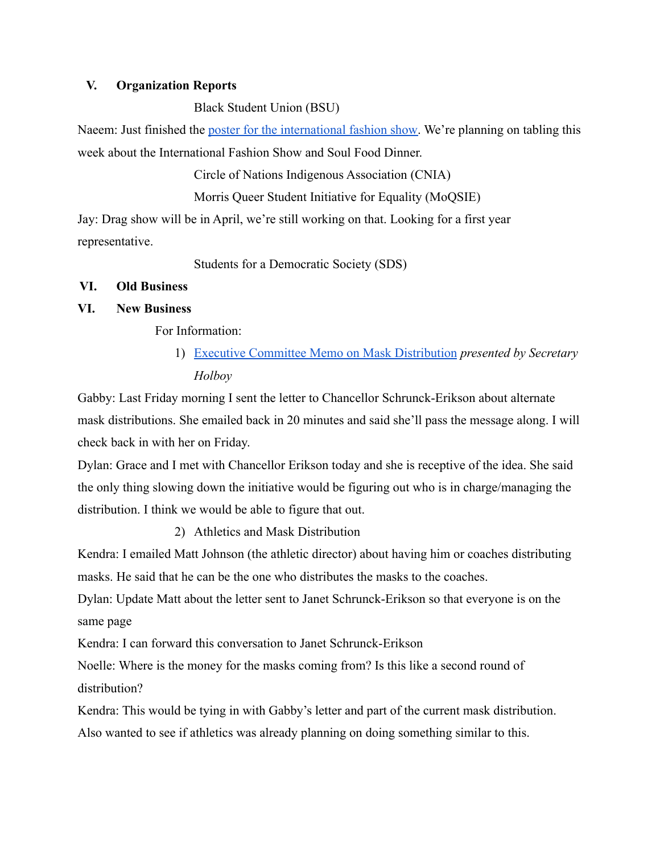### **V. Organization Reports**

Black Student Union (BSU)

Naeem: Just finished the [poster for the international](https://accounts.google.com/signin/continue?sarp=1&scc=0&continue=https%3A%2F%2Fphotos.google.com%2Fshare%2FAF1QipPPXp4zbmXj5BBIaYukRd2JSSy3d57MEK3mNXtBDnkVr_6bOof3Wj7kE6LC0VL-lA%3Fkey%3DRUlOTkxlaUF1YUE5c1JTTDdRODkydVVHZF9xalZ3&plt=AKgnsbula-vGv9Tmb94KIfIkL_fp-BQFAltlmInzbNyvuCnWC1Mjjek3wjw-mgMQdYly6o2FDMxsfHt7G2doNmsigfQljQg8uvn5yKH_3AzareiBXelJEEVpSnQ_5bXoEOPVCjle__NE&PersistentCookie=1&service=lh2&osid=1) fashion show. We're planning on tabling this week about the International Fashion Show and Soul Food Dinner.

Circle of Nations Indigenous Association (CNIA)

Morris Queer Student Initiative for Equality (MoQSIE)

Jay: Drag show will be in April, we're still working on that. Looking for a first year representative.

Students for a Democratic Society (SDS)

## **VI. Old Business**

## **VI. New Business**

For Information:

1) [Executive Committee Memo on Mask Distribution](https://docs.google.com/document/d/1U9ret8bnvogR5rW3381vVqWYou6UDxsxbFUYNnn5mtA/edit) *presented by Secretary Holboy*

Gabby: Last Friday morning I sent the letter to Chancellor Schrunck-Erikson about alternate mask distributions. She emailed back in 20 minutes and said she'll pass the message along. I will check back in with her on Friday.

Dylan: Grace and I met with Chancellor Erikson today and she is receptive of the idea. She said the only thing slowing down the initiative would be figuring out who is in charge/managing the distribution. I think we would be able to figure that out.

2) Athletics and Mask Distribution

Kendra: I emailed Matt Johnson (the athletic director) about having him or coaches distributing masks. He said that he can be the one who distributes the masks to the coaches.

Dylan: Update Matt about the letter sent to Janet Schrunck-Erikson so that everyone is on the same page

Kendra: I can forward this conversation to Janet Schrunck-Erikson

Noelle: Where is the money for the masks coming from? Is this like a second round of distribution?

Kendra: This would be tying in with Gabby's letter and part of the current mask distribution. Also wanted to see if athletics was already planning on doing something similar to this.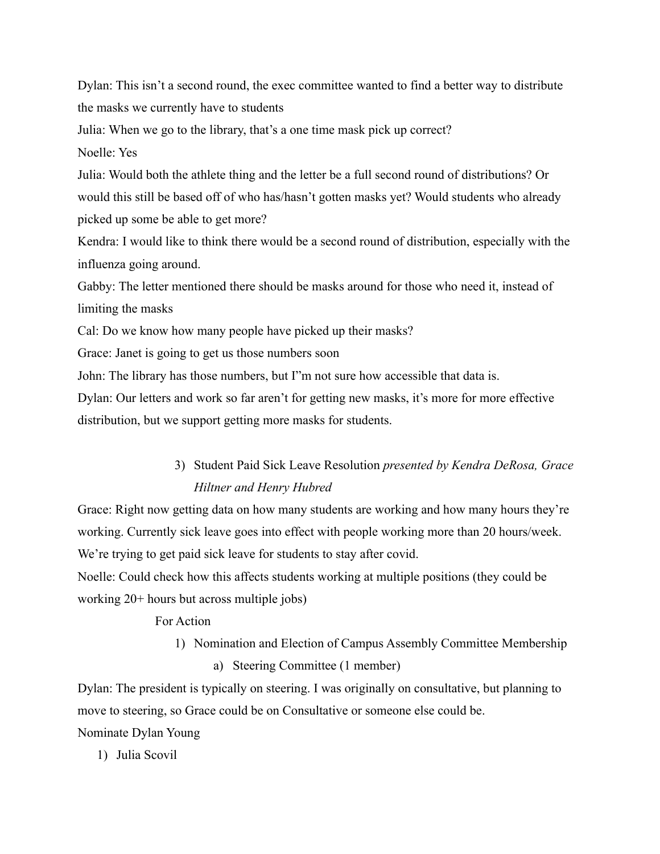Dylan: This isn't a second round, the exec committee wanted to find a better way to distribute the masks we currently have to students Julia: When we go to the library, that's a one time mask pick up correct? Noelle: Yes Julia: Would both the athlete thing and the letter be a full second round of distributions? Or would this still be based off of who has/hasn't gotten masks yet? Would students who already picked up some be able to get more? Kendra: I would like to think there would be a second round of distribution, especially with the influenza going around. Gabby: The letter mentioned there should be masks around for those who need it, instead of limiting the masks Cal: Do we know how many people have picked up their masks? Grace: Janet is going to get us those numbers soon John: The library has those numbers, but I"m not sure how accessible that data is.

Dylan: Our letters and work so far aren't for getting new masks, it's more for more effective distribution, but we support getting more masks for students.

## 3) Student Paid Sick Leave Resolution *presented by Kendra DeRosa, Grace Hiltner and Henry Hubred*

Grace: Right now getting data on how many students are working and how many hours they're working. Currently sick leave goes into effect with people working more than 20 hours/week. We're trying to get paid sick leave for students to stay after covid.

Noelle: Could check how this affects students working at multiple positions (they could be working 20+ hours but across multiple jobs)

For Action

1) Nomination and Election of Campus Assembly Committee Membership a) Steering Committee (1 member)

Dylan: The president is typically on steering. I was originally on consultative, but planning to move to steering, so Grace could be on Consultative or someone else could be. Nominate Dylan Young

1) Julia Scovil